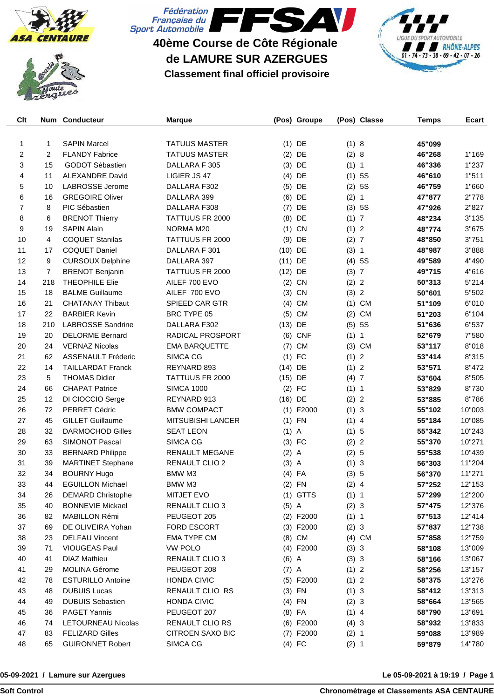





# **40ème Course de Côte Régionale de LAMURE SUR AZERGUES Classement final officiel provisoire**



| Clt            |                | Num Conducteur            | <b>Marque</b>            |           | (Pos) Groupe |         | (Pos) Classe   | <b>Temps</b> | Ecart  |
|----------------|----------------|---------------------------|--------------------------|-----------|--------------|---------|----------------|--------------|--------|
|                |                |                           |                          |           |              |         |                |              |        |
| 1              | 1              | <b>SAPIN Marcel</b>       | <b>TATUUS MASTER</b>     |           | $(1)$ DE     | (1) 8   |                | 45"099       |        |
| $\mathbf{2}$   | 2              | <b>FLANDY Fabrice</b>     | <b>TATUUS MASTER</b>     | (2)       | DE           | (2) 8   |                | 46"268       | 1"169  |
| 3              | 15             | <b>GODOT Sébastien</b>    | DALLARA F 305            | (3)       | DE           | (1) 1   |                | 46"336       | 1"237  |
| 4              | 11             | <b>ALEXANDRE David</b>    | LIGIER JS 47             | (4)       | DE           |         | (1) 5S         | 46"610       | 1"511  |
| 5              | 10             | <b>LABROSSE Jerome</b>    | DALLARA F302             |           | $(5)$ DE     | (2)     | 5S             | 46"759       | 1"660  |
| 6              | 16             | <b>GREGOIRE Oliver</b>    | DALLARA 399              | (6)       | DE           | (2) 1   |                | 47"877       | 2"778  |
| $\overline{7}$ | 8              | PIC Sébastien             | DALLARA F308             | (7)       | DE           |         | (3) 5S         | 47"926       | 2"827  |
| 8              | 6              | <b>BRENOT Thierry</b>     | TATTUUS FR 2000          | (8)       | DE           | (1) 7   |                | 48"234       | 3"135  |
| 9              | 19             | <b>SAPIN Alain</b>        | NORMA M20                | (1)       | CN           | (1) 2   |                | 48"774       | 3"675  |
| 10             | 4              | <b>COQUET Stanilas</b>    | TATTUUS FR 2000          | (9)       | DE           | (2) 7   |                | 48"850       | 3"751  |
| 11             | 17             | <b>COQUET Daniel</b>      | DALLARA F 301            | $(10)$ DE |              | (3) 1   |                | 48"987       | 3"888  |
| 12             | 9              | <b>CURSOUX Delphine</b>   | DALLARA 397              | $(11)$ DE |              |         | (4) 5S         | 49"589       | 4"490  |
| 13             | $\overline{7}$ | <b>BRENOT Benjanin</b>    | TATTUUS FR 2000          | $(12)$ DE |              | (3) 7   |                | 49"715       | 4"616  |
| 14             | 218            | <b>THEOPHILE Elie</b>     | AILEF 700 EVO            |           | $(2)$ CN     | (2) 2   |                | 50"313       | 5"214  |
| 15             | 18             | <b>BALME Guillaume</b>    | AILEF 700 EVO            | (3)       | CN           | (3)     | $\overline{2}$ | 50"601       | 5"502  |
| 16             | 21             | <b>CHATANAY Thibaut</b>   | SPIEED CAR GTR           | (4)       | <b>CM</b>    | (1)     | <b>CM</b>      | 51"109       | 6"010  |
| 17             | 22             | <b>BARBIER Kevin</b>      | BRC TYPE 05              | (5)       | <b>CM</b>    | (2)     | <b>CM</b>      | 51"203       | 6"104  |
| 18             | 210            | <b>LABROSSE Sandrine</b>  | DALLARA F302             | (13)      | DE           | (5)     | 5S             | 51"636       | 6"537  |
| 19             | 20             | <b>DELORME Bernard</b>    | RADICAL PROSPORT         | (6)       | <b>CNF</b>   | (1) 1   |                | 52"679       | 7"580  |
| 20             | 24             | <b>VERNAZ Nicolas</b>     | <b>EMA BARQUETTE</b>     | (7)       | <b>CM</b>    | (3)     | <b>CM</b>      | 53"117       | 8"018  |
| 21             | 62             | <b>ASSENAULT Fréderic</b> | <b>SIMCA CG</b>          | (1)       | FC           | (1)     | $\overline{c}$ | 53"414       | 8"315  |
| 22             | 14             | <b>TAILLARDAT Franck</b>  | REYNARD 893              | $(14)$ DE |              | (1) 2   |                | 53"571       | 8"472  |
| 23             | 5              | <b>THOMAS Didier</b>      | TATTUUS FR 2000          | $(15)$ DE |              | (4)7    |                | 53"604       | 8"505  |
| 24             | 66             | <b>CHAPAT Patrice</b>     | <b>SIMCA 1000</b>        | (2)       | FC           | (1) 1   |                | 53"829       | 8"730  |
| 25             | 12             | DI CIOCCIO Serge          | REYNARD 913              | $(16)$ DE |              | (2)     | $\overline{2}$ | 53"885       | 8"786  |
| 26             | 72             | PERRET Cédric             | <b>BMW COMPACT</b>       |           | $(1)$ F2000  | (1) 3   |                |              | 10"003 |
|                | 45             | <b>GILLET Guillaume</b>   |                          |           | $(1)$ FN     |         |                | 55"102       |        |
| 27             |                |                           | <b>MITSUBISHI LANCER</b> |           |              | $(1)$ 4 |                | 55"184       | 10"085 |
| 28             | 32<br>63       | <b>DARMOCHOD Gilles</b>   | <b>SEAT LEON</b>         | $(1)$ A   |              | (1) 5   |                | 55"342       | 10"243 |
| 29             |                | <b>SIMONOT Pascal</b>     | <b>SIMCA CG</b>          |           | $(3)$ FC     | (2)     | $\overline{2}$ | 55"370       | 10"271 |
| 30             | 33             | <b>BERNARD Philippe</b>   | <b>RENAULT MEGANE</b>    | $(2)$ A   |              | (2) 5   |                | 55"538       | 10"439 |
| 31             | 39             | <b>MARTINET Stephane</b>  | RENAULT CLIO 2           | $(3)$ A   |              | (1) 3   |                | 56"303       | 11"204 |
| 32             | 34             | <b>BOURNY Hugo</b>        | BMW M3                   |           | $(4)$ FA     | (3) 5   |                | 56"370       | 11"271 |
| 33             | 44             | <b>EGUILLON Michael</b>   | BMW M3                   |           | $(2)$ FN     | $(2)$ 4 |                | 57"252       | 12"153 |
| 34             | 26             | <b>DEMARD Christophe</b>  | <b>MITJET EVO</b>        |           | $(1)$ GTTS   | (1) 1   |                | 57"299       | 12"200 |
| 35             | 40             | <b>BONNEVIE Mickael</b>   | RENAULT CLIO 3           | $(5)$ A   |              | (2) 3   |                | 57"475       | 12"376 |
| 36             | 82             | MABILLON Rémi             | PEUGEOT 205              |           | (2) F2000    | (1) 1   |                | 57"513       | 12"414 |
| 37             | 69             | DE OLIVEIRA Yohan         | FORD ESCORT              |           | $(3)$ F2000  | (2) 3   |                | 57"837       | 12"738 |
| 38             | 23             | <b>DELFAU Vincent</b>     | <b>EMA TYPE CM</b>       |           | $(8)$ CM     |         | $(4)$ CM       | 57"858       | 12"759 |
| 39             | 71             | VIOUGEAS Paul             | <b>VW POLO</b>           |           | (4) F2000    | (3) 3   |                | 58"108       | 13"009 |
| 40             | 41             | <b>DIAZ Mathieu</b>       | RENAULT CLIO 3           | $(6)$ A   |              | (3) 3   |                | 58"166       | 13"067 |
| 41             | 29             | <b>MOLINA Gérome</b>      | PEUGEOT 208              | $(7)$ A   |              | (1) 2   |                | 58"256       | 13"157 |
| 42             | 78             | <b>ESTURILLO Antoine</b>  | <b>HONDA CIVIC</b>       |           | $(5)$ F2000  | (1) 2   |                | 58"375       | 13"276 |
| 43             | 48             | <b>DUBUIS Lucas</b>       | RENAULT CLIO RS          |           | $(3)$ FN     | (1) 3   |                | 58"412       | 13"313 |
| 44             | 49             | <b>DUBUIS Sebastien</b>   | <b>HONDA CIVIC</b>       |           | $(4)$ FN     | (2) 3   |                | 58"664       | 13"565 |
| 45             | 36             | <b>PAGET Yannis</b>       | PEUGEOT 207              |           | $(8)$ FA     | $(1)$ 4 |                | 58"790       | 13"691 |
| 46             | 74             | <b>LETOURNEAU Nicolas</b> | RENAULT CLIO RS          |           | $(6)$ F2000  | (4) 3   |                | 58"932       | 13"833 |
| 47             | 83             | <b>FELIZARD Gilles</b>    | <b>CITROEN SAXO BIC</b>  |           | $(7)$ F2000  | (2) 1   |                | 59"088       | 13"989 |
| 48             | 65             | <b>GUIRONNET Robert</b>   | SIMCA CG                 |           | $(4)$ FC     | (2) 1   |                | 59"879       | 14"780 |

#### **05-09-2021 / Lamure sur Azergues**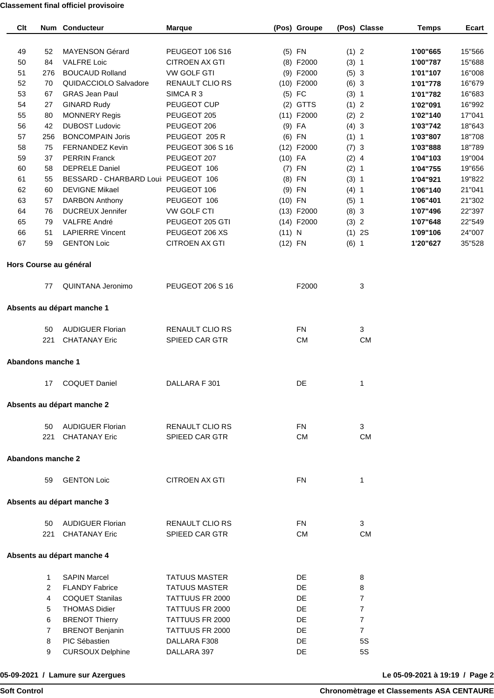### **Classement final officiel provisoire**

| Clt                      |        | <b>Num Conducteur</b>                   | <b>Marque</b>               |           | (Pos) Groupe |         | (Pos) Classe         | <b>Temps</b> | Ecart  |
|--------------------------|--------|-----------------------------------------|-----------------------------|-----------|--------------|---------|----------------------|--------------|--------|
|                          |        |                                         |                             |           |              |         |                      |              |        |
| 49                       | 52     | <b>MAYENSON Gérard</b>                  | PEUGEOT 106 S16             |           | $(5)$ FN     | (1) 2   |                      | 1'00"665     | 15"566 |
| 50                       | 84     | <b>VALFRE Loic</b>                      | <b>CITROEN AX GTI</b>       |           | $(8)$ F2000  | (3) 1   |                      | 1'00"787     | 15"688 |
| 51                       | 276    | <b>BOUCAUD Rolland</b>                  | <b>VW GOLF GTI</b>          |           | (9) F2000    | (5) 3   |                      | 1'01"107     | 16"008 |
| 52                       | 70     | QUIDACCIOLO Salvadore                   | <b>RENAULT CLIO RS</b>      |           | $(10)$ F2000 | (6) 3   |                      | 1'01"778     | 16"679 |
| 53                       | 67     | <b>GRAS Jean Paul</b>                   | SIMCAR3                     |           | $(5)$ FC     | (3) 1   |                      | 1'01"782     | 16"683 |
| 54                       | 27     | <b>GINARD Rudy</b>                      | PEUGEOT CUP                 |           | $(2)$ GTTS   | (1) 2   |                      | 1'02"091     | 16"992 |
| 55                       | 80     | <b>MONNERY Regis</b>                    | PEUGEOT 205                 |           | $(11)$ F2000 | (2) 2   |                      | 1'02"140     | 17"041 |
| 56                       | 42     | <b>DUBOST Ludovic</b>                   | PEUGEOT 206                 |           | $(9)$ FA     | (4) 3   |                      | 1'03"742     | 18"643 |
| 57                       | 256    | <b>BONCOMPAIN Joris</b>                 | PEUGEOT 205 R               |           | $(6)$ FN     | (1) 1   |                      | 1'03"807     | 18"708 |
| 58                       | 75     | <b>FERNANDEZ Kevin</b>                  | PEUGEOT 306 S 16            |           | $(12)$ F2000 | (7) 3   |                      | 1'03"888     | 18"789 |
| 59                       | 37     | <b>PERRIN Franck</b>                    | PEUGEOT 207                 | $(10)$ FA |              | $(2)$ 4 |                      | 1'04"103     | 19"004 |
| 60                       | 58     | <b>DEPRELE Daniel</b>                   | PEUGEOT 106                 |           | $(7)$ FN     | (2) 1   |                      | 1'04"755     | 19"656 |
| 61                       | 55     | BESSARD - CHARBARD Loui PEUGEOT 106     |                             |           | $(8)$ FN     | (3) 1   |                      | 1'04"921     | 19"822 |
| 62                       | 60     | <b>DEVIGNE Mikael</b>                   | PEUGEOT 106                 |           | $(9)$ FN     | $(4)$ 1 |                      | 1'06"140     | 21"041 |
| 63                       | 57     | <b>DARBON Anthony</b>                   | PEUGEOT 106                 | $(10)$ FN |              | (5) 1   |                      | 1'06"401     | 21"302 |
| 64                       | 76     | <b>DUCREUX Jennifer</b>                 | VW GOLF CTI                 |           | $(13)$ F2000 | (8) 3   |                      | 1'07"496     | 22"397 |
| 65                       | 79     | VALFRE André                            | PEUGEOT 205 GTI             |           | $(14)$ F2000 | (3) 2   |                      | 1'07"648     | 22"549 |
| 66                       | 51     | <b>LAPIERRE Vincent</b>                 | PEUGEOT 206 XS              | (11) N    |              |         | (1) 2S               | 1'09"106     | 24"007 |
| 67                       | 59     | <b>GENTON Loic</b>                      | <b>CITROEN AX GTI</b>       | $(12)$ FN |              | $(6)$ 1 |                      | 1'20"627     | 35"528 |
|                          |        | Hors Course au général                  |                             |           |              |         |                      |              |        |
|                          | 77     | QUINTANA Jeronimo                       | <b>PEUGEOT 206 S 16</b>     |           | F2000        |         | 3                    |              |        |
|                          |        |                                         |                             |           |              |         |                      |              |        |
|                          |        | Absents au départ manche 1              |                             |           |              |         |                      |              |        |
|                          | 50     | <b>AUDIGUER Florian</b>                 | RENAULT CLIO RS             |           | <b>FN</b>    |         | 3                    |              |        |
|                          | 221    | <b>CHATANAY Eric</b>                    | SPIEED CAR GTR              |           | <b>CM</b>    |         | <b>CM</b>            |              |        |
| <b>Abandons manche 1</b> |        |                                         |                             |           |              |         |                      |              |        |
|                          |        |                                         |                             |           |              |         |                      |              |        |
|                          | 17     | <b>COQUET Daniel</b>                    | DALLARA F 301               |           | DE           |         | 1                    |              |        |
|                          |        | Absents au départ manche 2              |                             |           |              |         |                      |              |        |
|                          | 50     | <b>AUDIGUER Florian</b>                 | <b>RENAULT CLIO RS</b>      |           | <b>FN</b>    |         | 3                    |              |        |
|                          | 221    | <b>CHATANAY Eric</b>                    | SPIEED CAR GTR              |           | <b>CM</b>    |         | <b>CM</b>            |              |        |
|                          |        |                                         |                             |           |              |         |                      |              |        |
| <b>Abandons manche 2</b> |        |                                         |                             |           |              |         |                      |              |        |
|                          | 59     | <b>GENTON Loic</b>                      | <b>CITROEN AX GTI</b>       |           | <b>FN</b>    |         | 1                    |              |        |
|                          |        | Absents au départ manche 3              |                             |           |              |         |                      |              |        |
|                          | 50     | <b>AUDIGUER Florian</b>                 | <b>RENAULT CLIO RS</b>      |           | <b>FN</b>    |         | 3                    |              |        |
|                          | 221    | <b>CHATANAY Eric</b>                    | SPIEED CAR GTR              |           | <b>CM</b>    |         | <b>CM</b>            |              |        |
|                          |        | Absents au départ manche 4              |                             |           |              |         |                      |              |        |
|                          |        |                                         |                             |           |              |         |                      |              |        |
|                          | 1      | <b>SAPIN Marcel</b>                     | <b>TATUUS MASTER</b>        |           | DE           |         | 8                    |              |        |
|                          | 2      | <b>FLANDY Fabrice</b>                   | <b>TATUUS MASTER</b>        |           | DE           |         | 8                    |              |        |
|                          | 4      | <b>COQUET Stanilas</b>                  | TATTUUS FR 2000             |           | DE           |         | $\overline{7}$       |              |        |
|                          | 5      | <b>THOMAS Didier</b>                    | TATTUUS FR 2000             |           | DE           |         | $\overline{7}$       |              |        |
|                          | 6      | <b>BRENOT Thierry</b>                   | TATTUUS FR 2000             |           | DE           |         | 7                    |              |        |
|                          | 7      | <b>BRENOT Benjanin</b><br>PIC Sébastien | TATTUUS FR 2000             |           | DE<br>DE     |         | $\overline{7}$<br>5S |              |        |
|                          | 8<br>9 | <b>CURSOUX Delphine</b>                 | DALLARA F308<br>DALLARA 397 |           | DE           |         | 5S                   |              |        |
|                          |        |                                         |                             |           |              |         |                      |              |        |

## **05-09-2021 / Lamure sur Azergues**